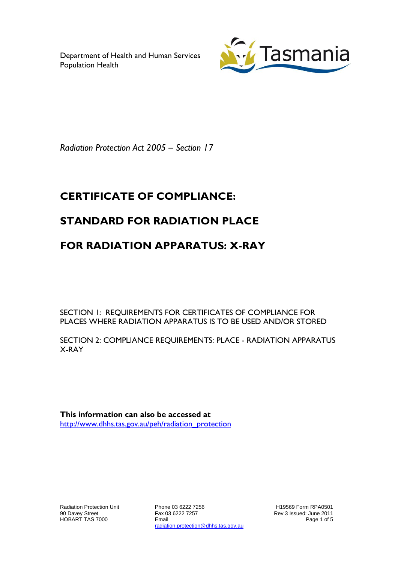Department of Health and Human Services Population Health



*Radiation Protection Act 2005 – Section 17*

# **CERTIFICATE OF COMPLIANCE:**

## **STANDARD FOR RADIATION PLACE**

## **FOR RADIATION APPARATUS: X-RAY**

SECTION 1: REQUIREMENTS FOR CERTIFICATES OF COMPLIANCE FOR PLACES WHERE RADIATION APPARATUS IS TO BE USED AND/OR STORED

SECTION 2: COMPLIANCE REQUIREMENTS: PLACE - RADIATION APPARATUS X-RAY

**This information can also be accessed at** [http://www.dhhs.tas.gov.au/peh/radiation\\_protection](http://www.dhhs.tas.gov.au/peh/radiation_protection)

Radiation Protection Unit 90 Davey Street HOBART TAS 7000

Phone 03 6222 7256 Fax 03 6222 7257 Email radiation.protection@dhhs.tas.gov.au

H19569 Form RPA0501 Rev 3 Issued: June 2011 Page 1 of 5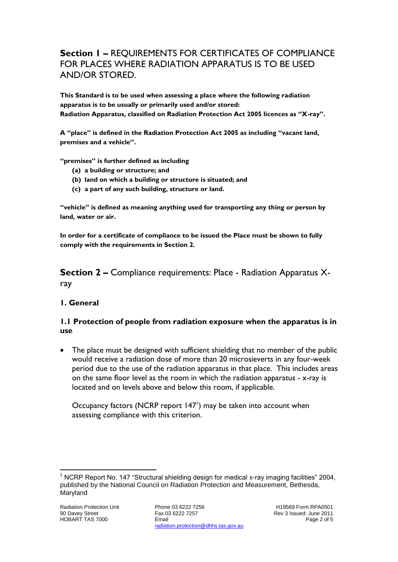## **Section 1 –** REQUIREMENTS FOR CERTIFICATES OF COMPLIANCE FOR PLACES WHERE RADIATION APPARATUS IS TO BE USED AND/OR STORED.

**This Standard is to be used when assessing a place where the following radiation apparatus is to be usually or primarily used and/or stored: Radiation Apparatus, classified on Radiation Protection Act 2005 licences as "X-ray".**

**A "place" is defined in the Radiation Protection Act 2005 as including "vacant land, premises and a vehicle".**

**"premises" is further defined as including**

- **(a) a building or structure; and**
- **(b) land on which a building or structure is situated; and**
- **(c) a part of any such building, structure or land.**

**"vehicle" is defined as meaning anything used for transporting any thing or person by land, water or air.**

**In order for a certificate of compliance to be issued the Place must be shown to fully comply with the requirements in Section 2.**

**Section 2 –** Compliance requirements: Place - Radiation Apparatus Xray

## **1. General**

#### **1.1 Protection of people from radiation exposure when the apparatus is in use**

 The place must be designed with sufficient shielding that no member of the public would receive a radiation dose of more than 20 microsieverts in any four-week period due to the use of the radiation apparatus in that place. This includes areas on the same floor level as the room in which the radiation apparatus -  $x$ -ray is located and on levels above and below this room, if applicable.

Occupancy factors (NCRP report  $147<sup>1</sup>$ ) may be taken into account when assessing compliance with this criterion.

l

<sup>1</sup> NCRP Report No. 147 "Structural shielding design for medical x-ray imaging facilities" 2004, published by the National Council on Radiation Protection and Measurement, Bethesda, Maryland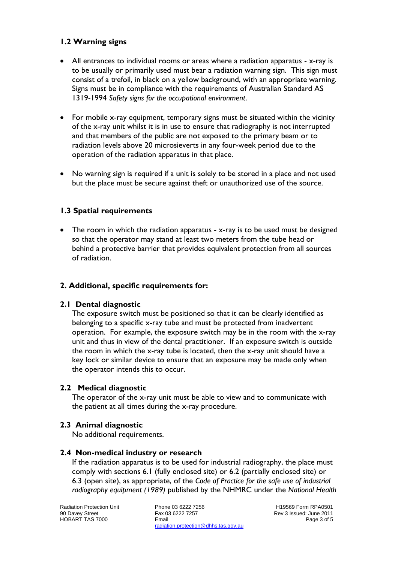## **1.2 Warning signs**

- All entrances to individual rooms or areas where a radiation apparatus x-ray is to be usually or primarily used must bear a radiation warning sign. This sign must consist of a trefoil, in black on a yellow background, with an appropriate warning. Signs must be in compliance with the requirements of Australian Standard AS 1319-1994 *Safety signs for the occupational environment*.
- For mobile x-ray equipment, temporary signs must be situated within the vicinity of the x-ray unit whilst it is in use to ensure that radiography is not interrupted and that members of the public are not exposed to the primary beam or to radiation levels above 20 microsieverts in any four-week period due to the operation of the radiation apparatus in that place.
- No warning sign is required if a unit is solely to be stored in a place and not used but the place must be secure against theft or unauthorized use of the source.

## **1.3 Spatial requirements**

• The room in which the radiation apparatus - x-ray is to be used must be designed so that the operator may stand at least two meters from the tube head or behind a protective barrier that provides equivalent protection from all sources of radiation.

## **2. Additional, specific requirements for:**

## **2.1 Dental diagnostic**

The exposure switch must be positioned so that it can be clearly identified as belonging to a specific x-ray tube and must be protected from inadvertent operation. For example, the exposure switch may be in the room with the x-ray unit and thus in view of the dental practitioner. If an exposure switch is outside the room in which the x-ray tube is located, then the x-ray unit should have a key lock or similar device to ensure that an exposure may be made only when the operator intends this to occur.

## **2.2 Medical diagnostic**

The operator of the x-ray unit must be able to view and to communicate with the patient at all times during the x-ray procedure.

## **2.3 Animal diagnostic**

No additional requirements.

#### **2.4 Non-medical industry or research**

If the radiation apparatus is to be used for industrial radiography, the place must comply with sections 6.1 (fully enclosed site) or 6.2 (partially enclosed site) or 6.3 (open site), as appropriate, of the *Code of Practice for the safe use of industrial radiography equipment (1989)* published by the NHMRC under the *National Health* 

Radiation Protection Unit 90 Davey Street HOBART TAS 7000

Phone 03 6222 7256 Fax 03 6222 7257 Email radiation.protection@dhhs.tas.gov.au

H19569 Form RPA0501 Rev 3 Issued: June 2011 Page 3 of 5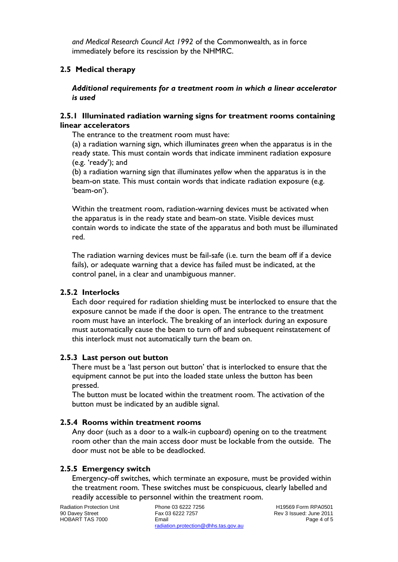*and Medical Research Council Act 1992* of the Commonwealth, as in force immediately before its rescission by the NHMRC.

## **2.5 Medical therapy**

*Additional requirements for a treatment room in which a linear accelerator is used*

#### **2.5.1 Illuminated radiation warning signs for treatment rooms containing linear accelerators**

The entrance to the treatment room must have:

(a) a radiation warning sign, which illuminates *green* when the apparatus is in the ready state. This must contain words that indicate imminent radiation exposure (e.g. 'ready'); and

(b) a radiation warning sign that illuminates *yellow* when the apparatus is in the beam-on state. This must contain words that indicate radiation exposure (e.g. 'beam-on').

Within the treatment room, radiation-warning devices must be activated when the apparatus is in the ready state and beam-on state. Visible devices must contain words to indicate the state of the apparatus and both must be illuminated red.

The radiation warning devices must be fail-safe (i.e. turn the beam off if a device fails), or adequate warning that a device has failed must be indicated, at the control panel, in a clear and unambiguous manner.

#### **2.5.2 Interlocks**

Each door required for radiation shielding must be interlocked to ensure that the exposure cannot be made if the door is open. The entrance to the treatment room must have an interlock. The breaking of an interlock during an exposure must automatically cause the beam to turn off and subsequent reinstatement of this interlock must not automatically turn the beam on.

#### **2.5.3 Last person out button**

There must be a 'last person out button' that is interlocked to ensure that the equipment cannot be put into the loaded state unless the button has been pressed.

The button must be located within the treatment room. The activation of the button must be indicated by an audible signal.

#### **2.5.4 Rooms within treatment rooms**

Any door (such as a door to a walk-in cupboard) opening on to the treatment room other than the main access door must be lockable from the outside. The door must not be able to be deadlocked.

#### **2.5.5 Emergency switch**

Emergency-off switches, which terminate an exposure, must be provided within the treatment room. These switches must be conspicuous, clearly labelled and readily accessible to personnel within the treatment room.

Radiation Protection Unit 90 Davey Street HOBART TAS 7000

Phone 03 6222 7256 Fax 03 6222 7257 Email radiation.protection@dhhs.tas.gov.au

H19569 Form RPA0501 Rev 3 Issued: June 2011 Page 4 of 5